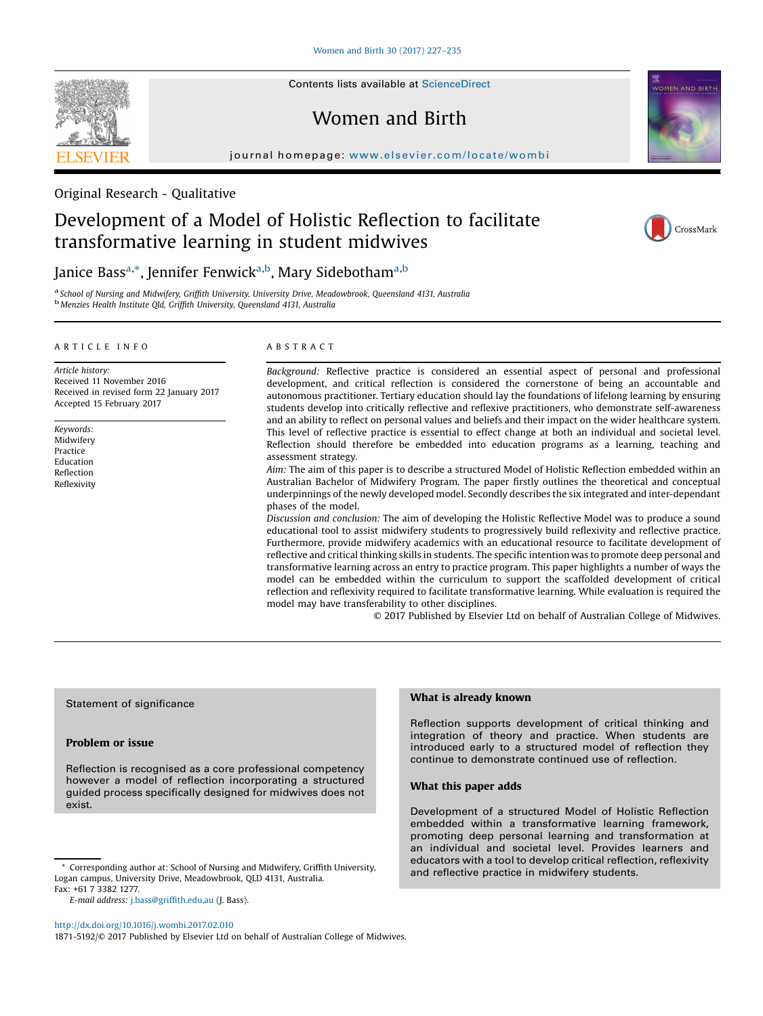# Women and Birth

journal homepage: <www.elsevier.com/locate/wombi>

Original Research - Qualitative

# Development of a Model of Holistic Reflection to facilitate transformative learning in student midwives

## Janice Bass<sup>a,</sup>\*, Jennifer Fenwick<sup>a,b</sup>, Mary Sidebotham<sup>a,b</sup>

<sup>a</sup> School of Nursing and Midwifery, Griffith University, University Drive, Meadowbrook, Queensland 4131, Australia<br><sup>b</sup> Menzies Health Institute Qld, Griffith University, Queensland 4131, Australia

A R T I C L E I N F O

Article history: Received 11 November 2016 Received in revised form 22 January 2017 Accepted 15 February 2017

Keywords: Midwifery Practice Education Reflection Reflexivity

## A B S T R A C T

Background: Reflective practice is considered an essential aspect of personal and professional development, and critical reflection is considered the cornerstone of being an accountable and autonomous practitioner. Tertiary education should lay the foundations of lifelong learning by ensuring students develop into critically reflective and reflexive practitioners, who demonstrate self-awareness and an ability to reflect on personal values and beliefs and their impact on the wider healthcare system. This level of reflective practice is essential to effect change at both an individual and societal level. Reflection should therefore be embedded into education programs as a learning, teaching and assessment strategy.

Aim: The aim of this paper is to describe a structured Model of Holistic Reflection embedded within an Australian Bachelor of Midwifery Program. The paper firstly outlines the theoretical and conceptual underpinnings of the newly developed model. Secondly describes the six integrated and inter-dependant phases of the model.

Discussion and conclusion: The aim of developing the Holistic Reflective Model was to produce a sound educational tool to assist midwifery students to progressively build reflexivity and reflective practice. Furthermore, provide midwifery academics with an educational resource to facilitate development of reflective and critical thinking skills in students. The specific intention was to promote deep personal and transformative learning across an entry to practice program. This paper highlights a number of ways the model can be embedded within the curriculum to support the scaffolded development of critical reflection and reflexivity required to facilitate transformative learning. While evaluation is required the model may have transferability to other disciplines.

What is already known

What this paper adds

© 2017 Published by Elsevier Ltd on behalf of Australian College of Midwives.

Reflection supports development of critical thinking and integration of theory and practice. When students are introduced early to a structured model of reflection they continue to demonstrate continued use of reflection.

Development of a structured Model of Holistic Reflection embedded within a transformative learning framework, promoting deep personal learning and transformation at an individual and societal level. Provides learners and educators with a tool to develop critical reflection, reflexivity

## Statement of significance

## Problem or issue

Reflection is recognised as a core professional competency however a model of reflection incorporating a structured guided process specifically designed for midwives does not exist.





MEN AND BIRT





Corresponding author at: School of Nursing and Midwifery, Griffith University,<br>and reflective practice in midwifery students. Logan campus, University Drive, Meadowbrook, QLD 4131, Australia. Fax: +61 7 3382 1277.

E-mail address: [j.bass@grif](undefined)fith.edu.au (J. Bass).

<http://dx.doi.org/10.1016/j.wombi.2017.02.010>

<sup>1871-5192/©</sup> 2017 Published by Elsevier Ltd on behalf of Australian College of Midwives.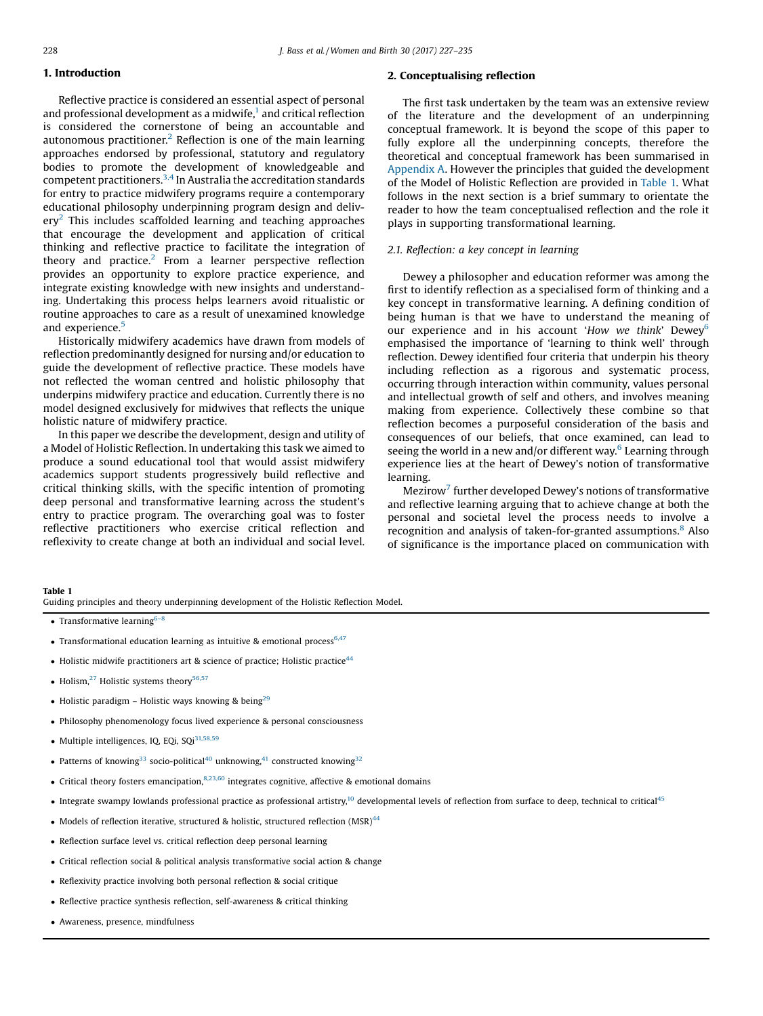## 1. Introduction

Reflective practice is considered an essential aspect of personal and professional development as a midwife, $1$  and critical reflection is considered the cornerstone of being an accountable and autonomous practitioner[.2](#page-7-0) Reflection is one of the main learning approaches endorsed by professional, statutory and regulatory bodies to promote the development of knowledgeable and competent practitioners. $3,4$  In Australia the [accreditation](#page-7-0) standards for entry to practice midwifery programs require a contemporary educational philosophy underpinning program design and deliv- $erv<sup>2</sup>$  $erv<sup>2</sup>$  $erv<sup>2</sup>$  This includes scaffolded learning and teaching approaches that encourage the development and application of critical thinking and reflective practice to facilitate the integration of theory and practice.<sup>[2](#page-7-0)</sup> From a learner perspective reflection provides an opportunity to explore practice experience, and integrate existing knowledge with new insights and understanding. Undertaking this process helps learners avoid ritualistic or routine approaches to care as a result of unexamined knowledge and experience.<sup>5</sup>

Historically midwifery academics have drawn from models of reflection predominantly designed for nursing and/or education to guide the development of reflective practice. These models have not reflected the woman centred and holistic philosophy that underpins midwifery practice and education. Currently there is no model designed exclusively for midwives that reflects the unique holistic nature of midwifery practice.

In this paper we describe the development, design and utility of a Model of Holistic Reflection. In undertaking this task we aimed to produce a sound educational tool that would assist midwifery academics support students progressively build reflective and critical thinking skills, with the specific intention of promoting deep personal and transformative learning across the student's entry to practice program. The overarching goal was to foster reflective practitioners who exercise critical reflection and reflexivity to create change at both an individual and social level.

#### 2. Conceptualising reflection

The first task undertaken by the team was an extensive review of the literature and the development of an underpinning conceptual framework. It is beyond the scope of this paper to fully explore all the underpinning concepts, therefore the theoretical and conceptual framework has been summarised in [Appendix](#page-7-0) A. However the principles that guided the development of the Model of Holistic Reflection are provided in Table 1. What follows in the next section is a brief summary to orientate the reader to how the team conceptualised reflection and the role it plays in supporting transformational learning.

#### 2.1. Reflection: a key concept in learning

Dewey a philosopher and education reformer was among the first to identify reflection as a specialised form of thinking and a key concept in transformative learning. A defining condition of being human is that we have to understand the meaning of our experience and in his account 'How we think' Dewey<sup>[6](#page-8-0)</sup> emphasised the importance of 'learning to think well' through reflection. Dewey identified four criteria that underpin his theory including reflection as a rigorous and systematic process, occurring through interaction within community, values personal and intellectual growth of self and others, and involves meaning making from experience. Collectively these combine so that reflection becomes a purposeful consideration of the basis and consequences of our beliefs, that once examined, can lead to seeing the world in a new and/or different way. $6$  Learning through experience lies at the heart of Dewey's notion of transformative learning.

Mezirow<sup>[7](#page-8-0)</sup> further developed Dewey's notions of transformative and reflective learning arguing that to achieve change at both the personal and societal level the process needs to involve a recognition and analysis of taken-for-granted assumptions.<sup>[8](#page-8-0)</sup> Also of significance is the importance placed on communication with

#### Table 1

Guiding principles and theory underpinning development of the Holistic Reflection Model.

- $\bullet$  Transformative learning<sup>6-8</sup>
- **Transformational education learning as intuitive & emotional process**  $6,47$
- $\bullet$  Holistic midwife practitioners art & science of practice; Holistic practice<sup>44</sup>
- Holism, $^{27}$  $^{27}$  $^{27}$  Holistic systems theory<sup>56,57</sup>
- $\bullet$  Holistic paradigm Holistic ways knowing & being<sup>[29](#page-8-0)</sup>
- Philosophy phenomenology focus lived experience & personal consciousness
- Multiple intelligences, IQ, EQi,  $SQi^{31,58,59}$
- Patterns of knowing<sup>[33](#page-8-0)</sup> socio-political<sup>[40](#page-8-0)</sup> unknowing,<sup>41</sup> constructed knowing<sup>32</sup>
- Critical theory fosters emancipation,  $8,23,60$  integrates cognitive, affective & [emotional](#page-8-0) domains
- Integrate swampy lowlands professional practice as professional artistry,<sup>10</sup> developmental levels of reflection from surface to deep, technical to critical<sup>45</sup>
- Models of reflection iterative, structured & holistic, structured reflection  $(MSR)^{44}$  $(MSR)^{44}$  $(MSR)^{44}$
- Reflection surface level vs. critical reflection deep personal learning
- Critical reflection social & political analysis transformative social action & change
- Reflexivity practice involving both personal reflection & social critique
- Reflective practice synthesis reflection, self-awareness & critical thinking
- Awareness, presence, mindfulness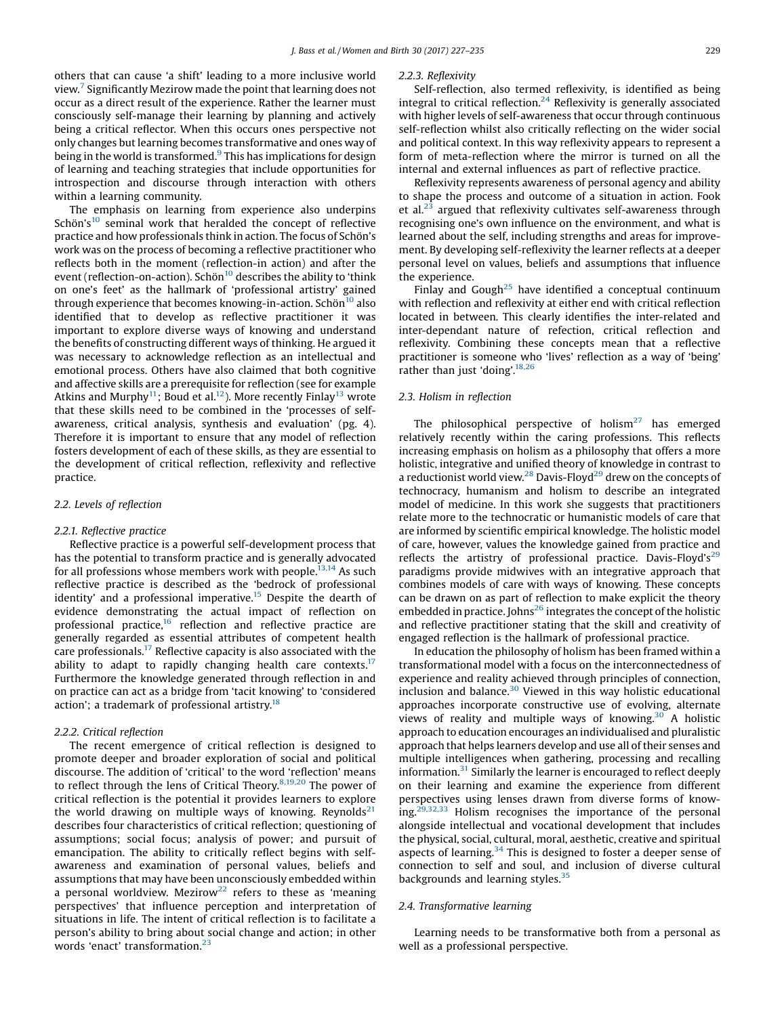others that can cause 'a shift' leading to a more inclusive world view[.7](#page-8-0) Significantly Mezirow made the point that learning does not occur as a direct result of the experience. Rather the learner must consciously self-manage their learning by planning and actively being a critical reflector. When this occurs ones perspective not only changes but learning becomes transformative and ones way of being in the world is transformed.<sup>[9](#page-8-0)</sup> This has implications for design of learning and teaching strategies that include opportunities for introspection and discourse through interaction with others within a learning community.

The emphasis on learning from experience also underpins Schön's<sup>[10](#page-8-0)</sup> seminal work that heralded the concept of reflective practice and how professionals think in action. The focus of Schön's work was on the process of becoming a reflective practitioner who reflects both in the moment (reflection-in action) and after the event (reflection-on-action). Schön $10$  describes the ability to 'think on one's feet' as the hallmark of 'professional artistry' gained through experience that becomes knowing-in-action. Schön $10$  also identified that to develop as reflective practitioner it was important to explore diverse ways of knowing and understand the benefits of constructing different ways of thinking. He argued it was necessary to acknowledge reflection as an intellectual and emotional process. Others have also claimed that both cognitive and affective skills are a prerequisite for reflection (see for example Atkins and Murphy<sup>11</sup>; Boud et al.<sup>12</sup>). More recently Finlay<sup>[13](#page-8-0)</sup> wrote that these skills need to be combined in the 'processes of selfawareness, critical analysis, synthesis and evaluation' (pg. 4). Therefore it is important to ensure that any model of reflection fosters development of each of these skills, as they are essential to the development of critical reflection, reflexivity and reflective practice.

## 2.2. Levels of reflection

## 2.2.1. Reflective practice

Reflective practice is a powerful self-development process that has the potential to transform practice and is generally advocated for all professions whose members work with people. $13,14$  As [such](#page-8-0) reflective practice is described as the 'bedrock of professional identity' and a professional imperative.<sup>[15](#page-8-0)</sup> Despite the dearth of evidence demonstrating the actual impact of reflection on professional practice,<sup>[16](#page-8-0)</sup> reflection and reflective practice are generally regarded as essential attributes of competent health care professionals.<sup>[17](#page-8-0)</sup> Reflective capacity is also associated with the ability to adapt to rapidly changing health care contexts.<sup>17</sup> Furthermore the knowledge generated through reflection in and on practice can act as a bridge from 'tacit knowing' to 'considered action'; a trademark of professional artistry.<sup>18</sup>

### 2.2.2. Critical reflection

The recent emergence of critical reflection is designed to promote deeper and broader exploration of social and political discourse. The addition of 'critical' to the word 'reflection' means to reflect through the lens of Critical Theory. $8,19,20$  The [power](#page-8-0) of critical reflection is the potential it provides learners to explore the world drawing on multiple ways of knowing. Reynolds<sup>[21](#page-8-0)</sup> describes four characteristics of critical reflection; questioning of assumptions; social focus; analysis of power; and pursuit of emancipation. The ability to critically reflect begins with selfawareness and examination of personal values, beliefs and assumptions that may have been unconsciously embedded within a personal worldview. Mezirow<sup>[22](#page-8-0)</sup> refers to these as 'meaning perspectives' that influence perception and interpretation of situations in life. The intent of critical reflection is to facilitate a person's ability to bring about social change and action; in other words 'enact' transformation.<sup>[23](#page-8-0)</sup>

#### 2.2.3. Reflexivity

Self-reflection, also termed reflexivity, is identified as being integral to critical reflection.<sup>24</sup> Reflexivity is generally associated with higher levels of self-awareness that occur through continuous self-reflection whilst also critically reflecting on the wider social and political context. In this way reflexivity appears to represent a form of meta-reflection where the mirror is turned on all the internal and external influences as part of reflective practice.

Reflexivity represents awareness of personal agency and ability to shape the process and outcome of a situation in action. Fook et al. $^{23}$  $^{23}$  $^{23}$  argued that reflexivity cultivates self-awareness through recognising one's own influence on the environment, and what is learned about the self, including strengths and areas for improvement. By developing self-reflexivity the learner reflects at a deeper personal level on values, beliefs and assumptions that influence the experience.

Finlay and Gough<sup>[25](#page-8-0)</sup> have identified a conceptual continuum with reflection and reflexivity at either end with critical reflection located in between. This clearly identifies the inter-related and inter-dependant nature of refection, critical reflection and reflexivity. Combining these concepts mean that a reflective practitioner is someone who 'lives' reflection as a way of 'being' rather than just 'doing'.<sup>[18,26](#page-8-0)</sup>

#### 2.3. Holism in reflection

The philosophical perspective of holism<sup>[27](#page-8-0)</sup> has emerged relatively recently within the caring professions. This reflects increasing emphasis on holism as a philosophy that offers a more holistic, integrative and unified theory of knowledge in contrast to a reductionist world view.<sup>[28](#page-8-0)</sup> Davis-Floyd<sup>[29](#page-8-0)</sup> drew on the concepts of technocracy, humanism and holism to describe an integrated model of medicine. In this work she suggests that practitioners relate more to the technocratic or humanistic models of care that are informed by scientific empirical knowledge. The holistic model of care, however, values the knowledge gained from practice and reflects the artistry of professional practice. Davis-Floyd's<sup>[29](#page-8-0)</sup> paradigms provide midwives with an integrative approach that combines models of care with ways of knowing. These concepts can be drawn on as part of reflection to make explicit the theory embedded in practice. Johns $^{26}$  $^{26}$  $^{26}$  integrates the concept of the holistic and reflective practitioner stating that the skill and creativity of engaged reflection is the hallmark of professional practice.

In education the philosophy of holism has been framed within a transformational model with a focus on the interconnectedness of experience and reality achieved through principles of connection, inclusion and balance.<sup>[30](#page-8-0)</sup> Viewed in this way holistic educational approaches incorporate constructive use of evolving, alternate views of reality and multiple ways of knowing.<sup>30</sup> A holistic approach to education encourages an individualised and pluralistic approach that helps learners develop and use all of their senses and multiple intelligences when gathering, processing and recalling information. $31$  Similarly the learner is encouraged to reflect deeply on their learning and examine the experience from different perspectives using lenses drawn from diverse forms of knowing.<sup>29,32,33</sup> Holism recognises the [importance](#page-8-0) of the personal alongside intellectual and vocational development that includes the physical, social, cultural, moral, aesthetic, creative and spiritual aspects of learning. $34$  This is designed to foster a deeper sense of connection to self and soul, and inclusion of diverse cultural backgrounds and learning styles.<sup>35</sup>

#### 2.4. Transformative learning

Learning needs to be transformative both from a personal as well as a professional perspective.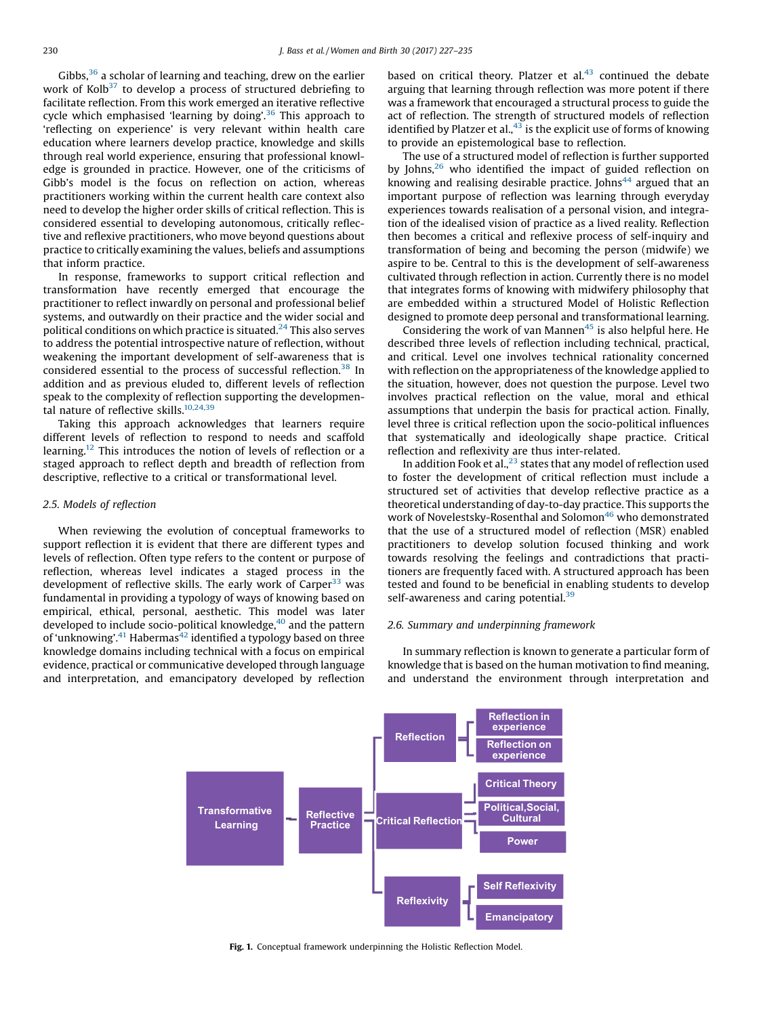<span id="page-3-0"></span>Gibbs,  $36$  a scholar of learning and teaching, drew on the earlier work of Kolb<sup>[37](#page-8-0)</sup> to develop a process of structured debriefing to facilitate reflection. From this work emerged an iterative reflective cycle which emphasised 'learning by doing'.<sup>[36](#page-8-0)</sup> This approach to 'reflecting on experience' is very relevant within health care education where learners develop practice, knowledge and skills through real world experience, ensuring that professional knowledge is grounded in practice. However, one of the criticisms of Gibb's model is the focus on reflection on action, whereas practitioners working within the current health care context also need to develop the higher order skills of critical reflection. This is considered essential to developing autonomous, critically reflective and reflexive practitioners, who move beyond questions about practice to critically examining the values, beliefs and assumptions that inform practice.

In response, frameworks to support critical reflection and transformation have recently emerged that encourage the practitioner to reflect inwardly on personal and professional belief systems, and outwardly on their practice and the wider social and political conditions on which practice is situated.<sup>24</sup> This also serves to address the potential introspective nature of reflection, without weakening the important development of self-awareness that is considered essential to the process of successful reflection.<sup>[38](#page-8-0)</sup> In addition and as previous eluded to, different levels of reflection speak to the complexity of reflection supporting the developmen-tal nature of reflective skills.<sup>[10,24,39](#page-8-0)</sup>

Taking this approach acknowledges that learners require different levels of reflection to respond to needs and scaffold learning[.12](#page-8-0) This introduces the notion of levels of reflection or a staged approach to reflect depth and breadth of reflection from descriptive, reflective to a critical or transformational level.

## 2.5. Models of reflection

When reviewing the evolution of conceptual frameworks to support reflection it is evident that there are different types and levels of reflection. Often type refers to the content or purpose of reflection, whereas level indicates a staged process in the development of reflective skills. The early work of  $C\a{F}^{33}$  $C\a{F}^{33}$  $C\a{F}^{33}$  was fundamental in providing a typology of ways of knowing based on empirical, ethical, personal, aesthetic. This model was later developed to include socio-political knowledge, $40$  and the pattern of 'unknowing'.<sup>[41](#page-8-0)</sup> Habermas<sup>[42](#page-8-0)</sup> identified a typology based on three knowledge domains including technical with a focus on empirical evidence, practical or communicative developed through language and interpretation, and emancipatory developed by reflection based on critical theory. Platzer et al. $43$  continued the debate arguing that learning through reflection was more potent if there was a framework that encouraged a structural process to guide the act of reflection. The strength of structured models of reflection identified by Platzer et al., $43$  is the explicit use of forms of knowing to provide an epistemological base to reflection.

The use of a structured model of reflection is further supported by Johns,<sup>26</sup> who identified the impact of guided reflection on knowing and realising desirable practice. Johns $44$  argued that an important purpose of reflection was learning through everyday experiences towards realisation of a personal vision, and integration of the idealised vision of practice as a lived reality. Reflection then becomes a critical and reflexive process of self-inquiry and transformation of being and becoming the person (midwife) we aspire to be. Central to this is the development of self-awareness cultivated through reflection in action. Currently there is no model that integrates forms of knowing with midwifery philosophy that are embedded within a structured Model of Holistic Reflection designed to promote deep personal and transformational learning.

Considering the work of van Mannen<sup>[45](#page-8-0)</sup> is also helpful here. He described three levels of reflection including technical, practical, and critical. Level one involves technical rationality concerned with reflection on the appropriateness of the knowledge applied to the situation, however, does not question the purpose. Level two involves practical reflection on the value, moral and ethical assumptions that underpin the basis for practical action. Finally, level three is critical reflection upon the socio-political influences that systematically and ideologically shape practice. Critical reflection and reflexivity are thus inter-related.

In addition Fook et al., $^{23}$  states that any model of reflection used to foster the development of critical reflection must include a structured set of activities that develop reflective practice as a theoretical understanding of day-to-day practice. This supports the work of Novelestsky-Rosenthal and Solomon<sup>46</sup> who demonstrated that the use of a structured model of reflection (MSR) enabled practitioners to develop solution focused thinking and work towards resolving the feelings and contradictions that practitioners are frequently faced with. A structured approach has been tested and found to be beneficial in enabling students to develop self-awareness and caring potential.<sup>[39](#page-8-0)</sup>

## 2.6. Summary and underpinning framework

In summary reflection is known to generate a particular form of knowledge that is based on the human motivation to find meaning, and understand the environment through interpretation and



Fig. 1. Conceptual framework underpinning the Holistic Reflection Model.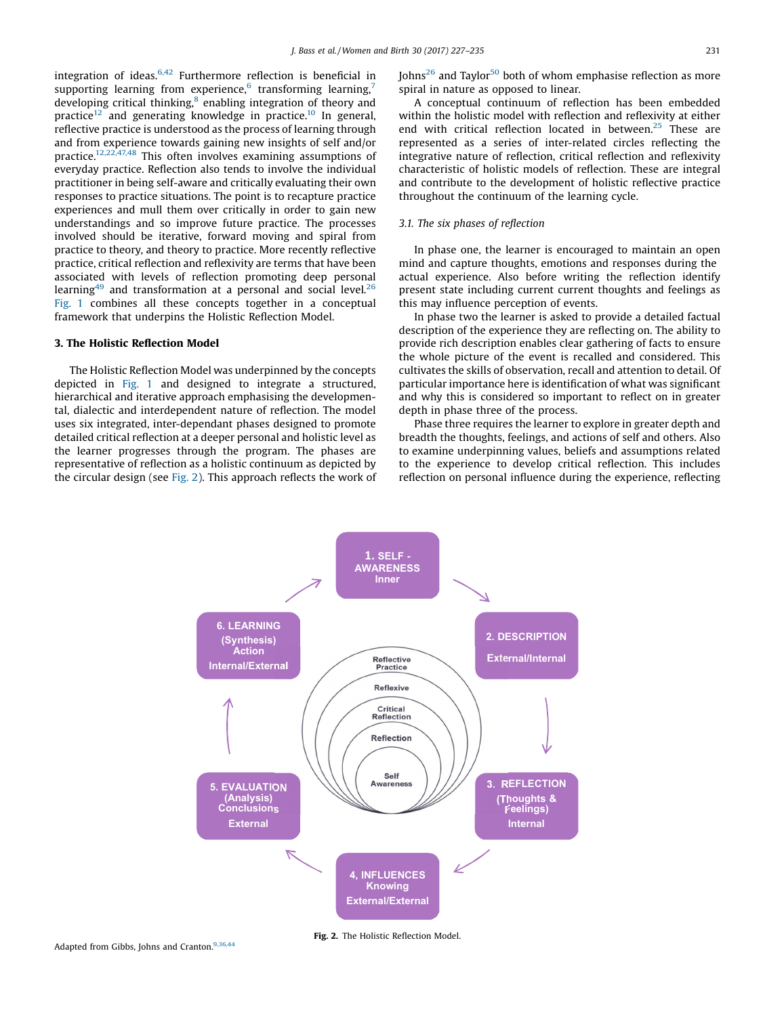integration of ideas. $6,42$  [Furthermore](#page-8-0) reflection is beneficial in supporting learning from experience,<sup>[6](#page-8-0)</sup> transforming learning,<sup>[7](#page-8-0)</sup> developing critical thinking,<sup>[8](#page-8-0)</sup> enabling integration of theory and practice<sup>12</sup> and generating knowledge in practice.<sup>10</sup> In general, reflective practice is understood as the process of learning through and from experience towards gaining new insights of self and/or practice.12,22,47,48 This often involves examining [assumptions](#page-8-0) of everyday practice. Reflection also tends to involve the individual practitioner in being self-aware and critically evaluating their own responses to practice situations. The point is to recapture practice experiences and mull them over critically in order to gain new understandings and so improve future practice. The processes involved should be iterative, forward moving and spiral from practice to theory, and theory to practice. More recently reflective practice, critical reflection and reflexivity are terms that have been associated with levels of reflection promoting deep personal learning<sup>[49](#page-8-0)</sup> and transformation at a personal and social level.<sup>[26](#page-8-0)</sup> [Fig.](#page-3-0) 1 combines all these concepts together in a conceptual framework that underpins the Holistic Reflection Model.

## 3. The Holistic Reflection Model

The Holistic Reflection Model was underpinned by the concepts depicted in [Fig.](#page-3-0) 1 and designed to integrate a structured, hierarchical and iterative approach emphasising the developmental, dialectic and interdependent nature of reflection. The model uses six integrated, inter-dependant phases designed to promote detailed critical reflection at a deeper personal and holistic level as the learner progresses through the program. The phases are representative of reflection as a holistic continuum as depicted by the circular design (see Fig. 2). This approach reflects the work of  $J\gamma$ <sub>0hns</sub><sup>[26](#page-8-0)</sup> and Taylor<sup>[50](#page-8-0)</sup> both of whom emphasise reflection as more spiral in nature as opposed to linear.

A conceptual continuum of reflection has been embedded within the holistic model with reflection and reflexivity at either end with critical reflection located in between.<sup>[25](#page-8-0)</sup> These are represented as a series of inter-related circles reflecting the integrative nature of reflection, critical reflection and reflexivity characteristic of holistic models of reflection. These are integral and contribute to the development of holistic reflective practice throughout the continuum of the learning cycle.

## 3.1. The six phases of reflection

In phase one, the learner is encouraged to maintain an open mind and capture thoughts, emotions and responses during the actual experience. Also before writing the reflection identify present state including current current thoughts and feelings as this may influence perception of events.

In phase two the learner is asked to provide a detailed factual description of the experience they are reflecting on. The ability to provide rich description enables clear gathering of facts to ensure the whole picture of the event is recalled and considered. This cultivates the skills of observation, recall and attention to detail. Of particular importance here is identification of what was significant and why this is considered so important to reflect on in greater depth in phase three of the process.

Phase three requires the learner to explore in greater depth and breadth the thoughts, feelings, and actions of self and others. Also to examine underpinning values, beliefs and assumptions related to the experience to develop critical reflection. This includes reflection on personal influence during the experience, reflecting



Fig. 2. The Holistic Reflection Model.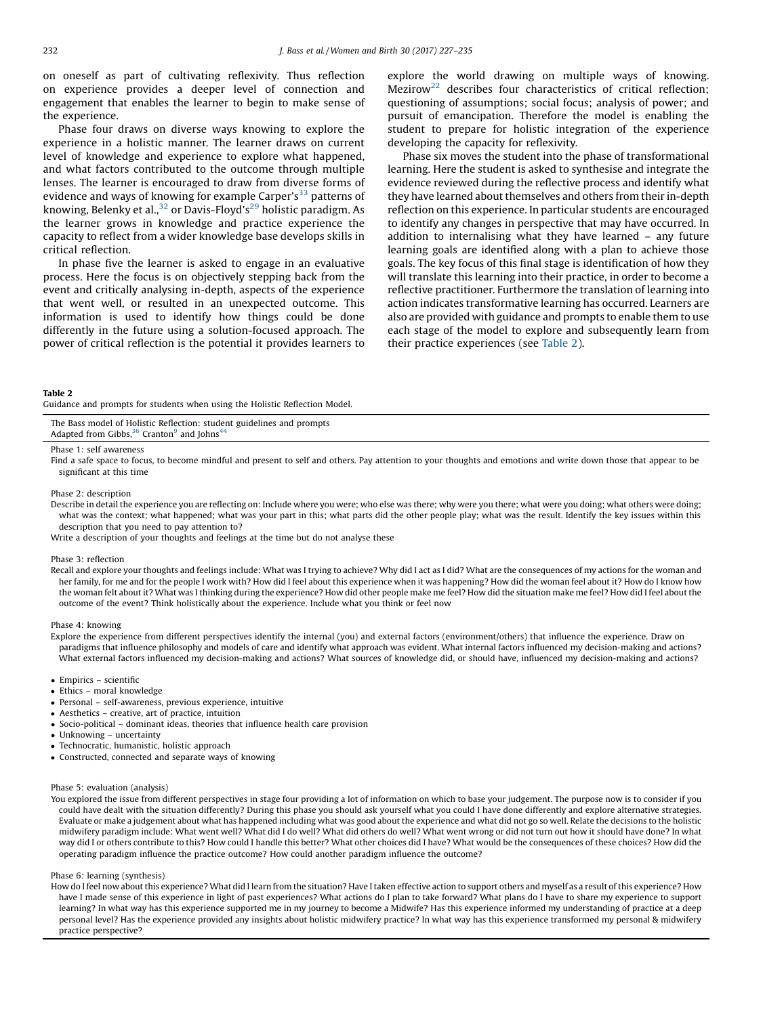on oneself as part of cultivating reflexivity. Thus reflection on experience provides a deeper level of connection and engagement that enables the learner to begin to make sense of the experience.

Phase four draws on diverse ways knowing to explore the experience in a holistic manner. The learner draws on current level of knowledge and experience to explore what happened, and what factors contributed to the outcome through multiple lenses. The learner is encouraged to draw from diverse forms of evidence and ways of knowing for example Carper's<sup>[33](#page-8-0)</sup> patterns of knowing, Belenky et al.,<sup>[32](#page-8-0)</sup> or Davis-Floyd's<sup>[29](#page-8-0)</sup> holistic paradigm. As the learner grows in knowledge and practice experience the capacity to reflect from a wider knowledge base develops skills in critical reflection.

In phase five the learner is asked to engage in an evaluative process. Here the focus is on objectively stepping back from the event and critically analysing in-depth, aspects of the experience that went well, or resulted in an unexpected outcome. This information is used to identify how things could be done differently in the future using a solution-focused approach. The power of critical reflection is the potential it provides learners to explore the world drawing on multiple ways of knowing. Mezirow<sup>[22](#page-8-0)</sup> describes four characteristics of critical reflection; questioning of assumptions; social focus; analysis of power; and pursuit of emancipation. Therefore the model is enabling the student to prepare for holistic integration of the experience developing the capacity for reflexivity.

Phase six moves the student into the phase of transformational learning. Here the student is asked to synthesise and integrate the evidence reviewed during the reflective process and identify what they have learned about themselves and others from their in-depth reflection on this experience. In particular students are encouraged to identify any changes in perspective that may have occurred. In addition to internalising what they have learned – any future learning goals are identified along with a plan to achieve those goals. The key focus of this final stage is identification of how they will translate this learning into their practice, in order to become a reflective practitioner. Furthermore the translation of learning into action indicates transformative learning has occurred. Learners are also are provided with guidance and prompts to enable them to use each stage of the model to explore and subsequently learn from their practice experiences (see Table 2).

Table 2

Guidance and prompts for students when using the Holistic Reflection Model.

The Bass model of Holistic Reflection: student guidelines and prompts Adapted from Gibbs,  $36$  Cranton<sup>[9](#page-8-0)</sup> and Johns<sup>[44](#page-8-0)</sup>

#### Phase 1: self awareness

Find a safe space to focus, to become mindful and present to self and others. Pay attention to your thoughts and emotions and write down those that appear to be significant at this time

#### Phase 2: description

Describe in detail the experience you are reflecting on: Include where you were; who else was there; why were you there; what were you doing; what others were doing; what was the context; what happened; what was your part in this; what parts did the other people play; what was the result. Identify the key issues within this description that you need to pay attention to?

Write a description of your thoughts and feelings at the time but do not analyse these

#### Phase 3: reflection

Recall and explore your thoughts and feelings include: What was I trying to achieve? Why did I act as I did? What are the consequences of my actions for the woman and her family, for me and for the people I work with? How did I feel about this experience when it was happening? How did the woman feel about it? How do I know how the woman felt about it? What was I thinking during the experience? How did other people make me feel? How did the situation make me feel? How did I feel about the outcome of the event? Think holistically about the experience. Include what you think or feel now

#### Phase 4: knowing

- Explore the experience from different perspectives identify the internal (you) and external factors (environment/others) that influence the experience. Draw on paradigms that influence philosophy and models of care and identify what approach was evident. What internal factors influenced my decision-making and actions? What external factors influenced my decision-making and actions? What sources of knowledge did, or should have, influenced my decision-making and actions?
- Empirics scientifi<sup>c</sup>
- Ethics moral knowledge
- Personal self-awareness, previous experience, intuitive
- Aesthetics creative, art of practice, intuition
- Socio-political dominant ideas, theories that influence health care provision
- Unknowing uncertainty
- Technocratic, humanistic, holistic approach
- Constructed, connected and separate ways of knowing

#### Phase 5: evaluation (analysis)

You explored the issue from different perspectives in stage four providing a lot of information on which to base your judgement. The purpose now is to consider if you could have dealt with the situation differently? During this phase you should ask yourself what you could I have done differently and explore alternative strategies. Evaluate or make a judgement about what has happened including what was good about the experience and what did not go so well. Relate the decisions to the holistic midwifery paradigm include: What went well? What did I do well? What did others do well? What went wrong or did not turn out how it should have done? In what way did I or others contribute to this? How could I handle this better? What other choices did I have? What would be the consequences of these choices? How did the operating paradigm influence the practice outcome? How could another paradigm influence the outcome?

#### Phase 6: learning (synthesis)

How do I feel now aboutthis experience? What did I learn from the situation? Have Itaken effective action to support others and myself as a result of this experience? How have I made sense of this experience in light of past experiences? What actions do I plan to take forward? What plans do I have to share my experience to support learning? In what way has this experience supported me in my journey to become a Midwife? Has this experience informed my understanding of practice at a deep personal level? Has the experience provided any insights about holistic midwifery practice? In what way has this experience transformed my personal & midwifery practice perspective?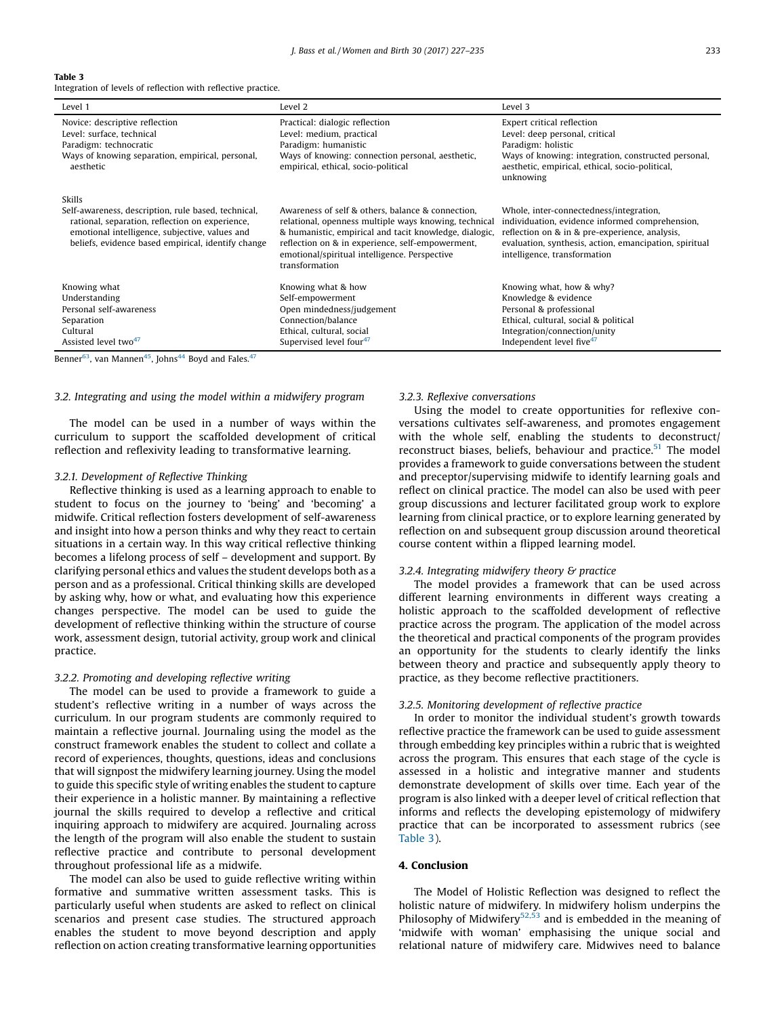#### Table 3

Integration of levels of reflection with reflective practice.

| Level 1                                                                                                                                                                                                                         | Level 2                                                                                                                                                                                                                                                                                     | Level 3                                                                                                                                                                                                                                |
|---------------------------------------------------------------------------------------------------------------------------------------------------------------------------------------------------------------------------------|---------------------------------------------------------------------------------------------------------------------------------------------------------------------------------------------------------------------------------------------------------------------------------------------|----------------------------------------------------------------------------------------------------------------------------------------------------------------------------------------------------------------------------------------|
| Novice: descriptive reflection<br>Level: surface, technical<br>Paradigm: technocratic<br>Ways of knowing separation, empirical, personal,<br>aesthetic                                                                          | Practical: dialogic reflection<br>Level: medium, practical<br>Paradigm: humanistic<br>Ways of knowing: connection personal, aesthetic,<br>empirical, ethical, socio-political                                                                                                               | Expert critical reflection<br>Level: deep personal, critical<br>Paradigm: holistic<br>Ways of knowing: integration, constructed personal,<br>aesthetic, empirical, ethical, socio-political,<br>unknowing                              |
| <b>Skills</b><br>Self-awareness, description, rule based, technical,<br>rational, separation, reflection on experience,<br>emotional intelligence, subjective, values and<br>beliefs, evidence based empirical, identify change | Awareness of self & others, balance & connection,<br>relational, openness multiple ways knowing, technical<br>& humanistic, empirical and tacit knowledge, dialogic,<br>reflection on & in experience, self-empowerment,<br>emotional/spiritual intelligence. Perspective<br>transformation | Whole, inter-connectedness/integration,<br>individuation, evidence informed comprehension,<br>reflection on & in & pre-experience, analysis,<br>evaluation, synthesis, action, emancipation, spiritual<br>intelligence, transformation |
| Knowing what<br>Understanding<br>Personal self-awareness<br>Separation<br>Cultural<br>Assisted level two <sup>47</sup>                                                                                                          | Knowing what & how<br>Self-empowerment<br>Open mindedness/judgement<br>Connection/balance<br>Ethical, cultural, social<br>Supervised level four <sup>47</sup>                                                                                                                               | Knowing what, how & why?<br>Knowledge & evidence<br>Personal & professional<br>Ethical, cultural, social & political<br>Integration/connection/unity<br>Independent level five <sup>47</sup>                                           |

Benner<sup>63</sup>, van Mannen<sup>[45](#page-8-0)</sup>, Johns<sup>[44](#page-8-0)</sup> Boyd and Fales.<sup>[47](#page-8-0)</sup>

## 3.2. Integrating and using the model within a midwifery program

The model can be used in a number of ways within the curriculum to support the scaffolded development of critical reflection and reflexivity leading to transformative learning.

#### 3.2.1. Development of Reflective Thinking

Reflective thinking is used as a learning approach to enable to student to focus on the journey to 'being' and 'becoming' a midwife. Critical reflection fosters development of self-awareness and insight into how a person thinks and why they react to certain situations in a certain way. In this way critical reflective thinking becomes a lifelong process of self – development and support. By clarifying personal ethics and values the student develops both as a person and as a professional. Critical thinking skills are developed by asking why, how or what, and evaluating how this experience changes perspective. The model can be used to guide the development of reflective thinking within the structure of course work, assessment design, tutorial activity, group work and clinical practice.

## 3.2.2. Promoting and developing reflective writing

The model can be used to provide a framework to guide a student's reflective writing in a number of ways across the curriculum. In our program students are commonly required to maintain a reflective journal. Journaling using the model as the construct framework enables the student to collect and collate a record of experiences, thoughts, questions, ideas and conclusions that will signpost the midwifery learning journey. Using the model to guide this specific style of writing enables the student to capture their experience in a holistic manner. By maintaining a reflective journal the skills required to develop a reflective and critical inquiring approach to midwifery are acquired. Journaling across the length of the program will also enable the student to sustain reflective practice and contribute to personal development throughout professional life as a midwife.

The model can also be used to guide reflective writing within formative and summative written assessment tasks. This is particularly useful when students are asked to reflect on clinical scenarios and present case studies. The structured approach enables the student to move beyond description and apply reflection on action creating transformative learning opportunities

## 3.2.3. Reflexive conversations

Using the model to create opportunities for reflexive conversations cultivates self-awareness, and promotes engagement with the whole self, enabling the students to deconstruct/ reconstruct biases, beliefs, behaviour and practice.<sup>51</sup> The model provides a framework to guide conversations between the student and preceptor/supervising midwife to identify learning goals and reflect on clinical practice. The model can also be used with peer group discussions and lecturer facilitated group work to explore learning from clinical practice, or to explore learning generated by reflection on and subsequent group discussion around theoretical course content within a flipped learning model.

#### 3.2.4. Integrating midwifery theory & practice

The model provides a framework that can be used across different learning environments in different ways creating a holistic approach to the scaffolded development of reflective practice across the program. The application of the model across the theoretical and practical components of the program provides an opportunity for the students to clearly identify the links between theory and practice and subsequently apply theory to practice, as they become reflective practitioners.

## 3.2.5. Monitoring development of reflective practice

In order to monitor the individual student's growth towards reflective practice the framework can be used to guide assessment through embedding key principles within a rubric that is weighted across the program. This ensures that each stage of the cycle is assessed in a holistic and integrative manner and students demonstrate development of skills over time. Each year of the program is also linked with a deeper level of critical reflection that informs and reflects the developing epistemology of midwifery practice that can be incorporated to assessment rubrics (see Table 3).

#### 4. Conclusion

The Model of Holistic Reflection was designed to reflect the holistic nature of midwifery. In midwifery holism underpins the Philosophy of Midwifery<sup>52,53</sup> and is [embedded](#page-8-0) in the meaning of 'midwife with woman' emphasising the unique social and relational nature of midwifery care. Midwives need to balance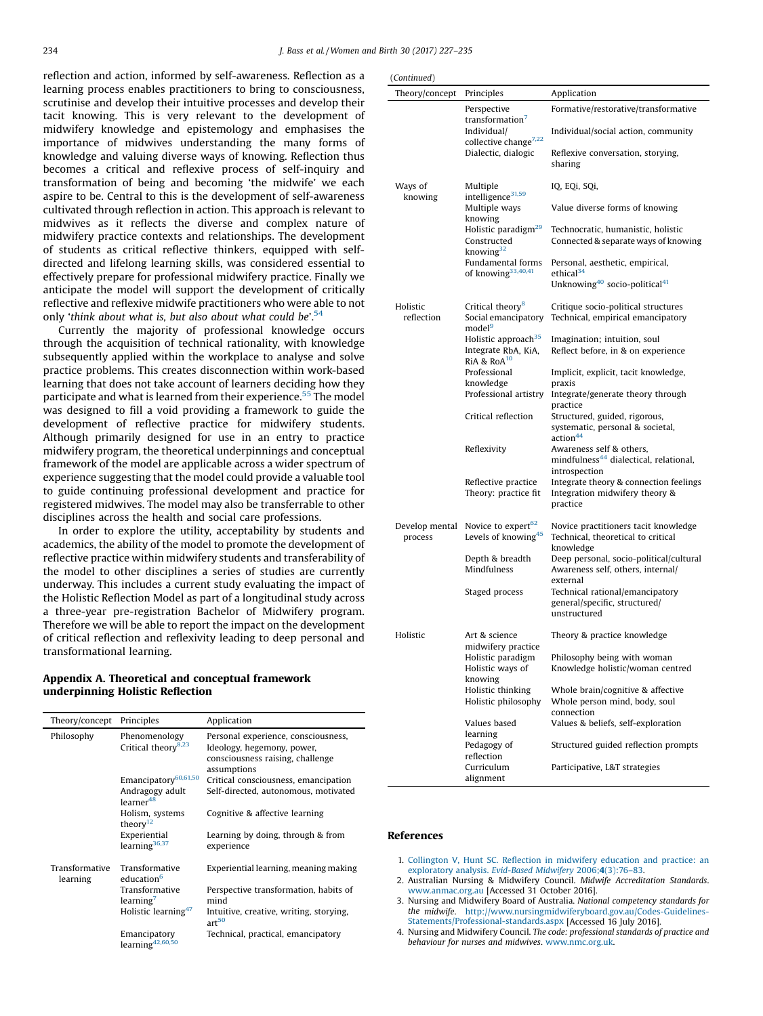<span id="page-7-0"></span>reflection and action, informed by self-awareness. Reflection as a learning process enables practitioners to bring to consciousness, scrutinise and develop their intuitive processes and develop their tacit knowing. This is very relevant to the development of midwifery knowledge and epistemology and emphasises the importance of midwives understanding the many forms of knowledge and valuing diverse ways of knowing. Reflection thus becomes a critical and reflexive process of self-inquiry and transformation of being and becoming 'the midwife' we each aspire to be. Central to this is the development of self-awareness cultivated through reflection in action. This approach is relevant to midwives as it reflects the diverse and complex nature of midwifery practice contexts and relationships. The development of students as critical reflective thinkers, equipped with selfdirected and lifelong learning skills, was considered essential to effectively prepare for professional midwifery practice. Finally we anticipate the model will support the development of critically reflective and reflexive midwife practitioners who were able to not only 'think about what is, but also about what could be'.<sup>[54](#page-8-0)</sup>

Currently the majority of professional knowledge occurs through the acquisition of technical rationality, with knowledge subsequently applied within the workplace to analyse and solve practice problems. This creates disconnection within work-based learning that does not take account of learners deciding how they participate and what is learned from their experience.<sup>[55](#page-8-0)</sup> The model was designed to fill a void providing a framework to guide the development of reflective practice for midwifery students. Although primarily designed for use in an entry to practice midwifery program, the theoretical underpinnings and conceptual framework of the model are applicable across a wider spectrum of experience suggesting that the model could provide a valuable tool to guide continuing professional development and practice for registered midwives. The model may also be transferrable to other disciplines across the health and social care professions.

In order to explore the utility, acceptability by students and academics, the ability of the model to promote the development of reflective practice within midwifery students and transferability of the model to other disciplines a series of studies are currently underway. This includes a current study evaluating the impact of the Holistic Reflection Model as part of a longitudinal study across a three-year pre-registration Bachelor of Midwifery program. Therefore we will be able to report the impact on the development of critical reflection and reflexivity leading to deep personal and transformational learning.

## Appendix A. Theoretical and conceptual framework underpinning Holistic Reflection

| Theory/concept             | Principles                                       | Application                                                                                                          |
|----------------------------|--------------------------------------------------|----------------------------------------------------------------------------------------------------------------------|
| Philosophy                 | Phenomenology<br>Critical theory <sup>8,23</sup> | Personal experience, consciousness,<br>Ideology, hegemony, power,<br>consciousness raising, challenge<br>assumptions |
|                            | Emancipatory <sup>60,61,50</sup>                 | Critical consciousness, emancipation                                                                                 |
|                            | Andragogy adult<br>learner <sup>48</sup>         | Self-directed, autonomous, motivated                                                                                 |
|                            | Holism, systems<br>theory $12$                   | Cognitive & affective learning                                                                                       |
|                            | Experiential<br>learning $36,37$                 | Learning by doing, through & from<br>experience                                                                      |
| Transformative<br>learning | Transformative<br>education <sup>6</sup>         | Experiential learning, meaning making                                                                                |
|                            | Transformative<br>learning <sup>7</sup>          | Perspective transformation, habits of<br>mind                                                                        |
|                            | Holistic learning <sup>47</sup>                  | Intuitive, creative, writing, storying,<br>art <sup>50</sup>                                                         |
|                            | Emancipatory<br>learning42,60,50                 | Technical, practical, emancipatory                                                                                   |

| Theory/concept            | Principles                                                                      | Application                                                                                     |
|---------------------------|---------------------------------------------------------------------------------|-------------------------------------------------------------------------------------------------|
|                           | Perspective                                                                     | Formative/restorative/transformative                                                            |
|                           | transformation <sup>7</sup><br>Individual/<br>collective change <sup>7,22</sup> | Individual/social action, community                                                             |
|                           | Dialectic, dialogic                                                             | Reflexive conversation, storying,<br>sharing                                                    |
| Ways of<br>knowing        | Multiple<br>intelligence <sup>31,59</sup>                                       | IQ, EQi, SQi,                                                                                   |
|                           | Multiple ways<br>knowing                                                        | Value diverse forms of knowing                                                                  |
|                           | Holistic paradigm <sup>29</sup><br>Constructed<br>knowing <sup>32</sup>         | Technocratic, humanistic, holistic<br>Connected & separate ways of knowing                      |
|                           | Fundamental forms<br>of knowing <sup>33,40,41</sup>                             | Personal, aesthetic, empirical,<br>ethical <sup>34</sup>                                        |
|                           |                                                                                 | Unknowing <sup>40</sup> socio-political <sup>41</sup>                                           |
| Holistic<br>reflection    | Critical theory <sup>8</sup><br>Social emancipatory<br>model <sup>9</sup>       | Critique socio-political structures<br>Technical, empirical emancipatory                        |
|                           | Holistic approach <sup>35</sup><br>Integrate RbA, KiA,                          | Imagination; intuition, soul<br>Reflect before, in & on experience                              |
|                           | RiA & RoA <sup>10</sup><br>Professional                                         | Implicit, explicit, tacit knowledge,                                                            |
|                           | knowledge                                                                       | praxis                                                                                          |
|                           | Professional artistry                                                           | Integrate/generate theory through<br>practice                                                   |
|                           | Critical reflection                                                             | Structured, guided, rigorous,<br>systematic, personal & societal,<br>action <sup>44</sup>       |
|                           | Reflexivity                                                                     | Awareness self & others,<br>mindfulness <sup>44</sup> dialectical, relational,<br>introspection |
|                           | Reflective practice<br>Theory: practice fit                                     | Integrate theory & connection feelings<br>Integration midwifery theory &<br>practice            |
| Develop mental<br>process | Novice to expert <sup>62</sup><br>Levels of knowing <sup>45</sup>               | Novice practitioners tacit knowledge<br>Technical, theoretical to critical                      |
|                           | Depth & breadth<br>Mindfulness                                                  | knowledge<br>Deep personal, socio-political/cultural<br>Awareness self, others, internal/       |
|                           | Staged process                                                                  | external<br>Technical rational/emancipatory<br>general/specific, structured/<br>unstructured    |
| Holistic                  | Art & science<br>midwifery practice                                             | Theory & practice knowledge                                                                     |
|                           | Holistic paradigm<br>Holistic ways of<br>knowing                                | Philosophy being with woman<br>Knowledge holistic/woman centred                                 |
|                           | Holistic thinking<br>Holistic philosophy                                        | Whole brain/cognitive & affective<br>Whole person mind, body, soul                              |
|                           | Values based<br>learning                                                        | connection<br>Values & beliefs, self-exploration                                                |
|                           | Pedagogy of                                                                     | Structured guided reflection prompts                                                            |
|                           | reflection<br>Curriculum<br>alignment                                           | Participative, L&T strategies                                                                   |

#### References

- 1. Collington V, Hunt SC. Reflection in [midwifery](http://refhub.elsevier.com/S1871-5192(17)30077-X/sbref0005) education and practice: an [exploratory](http://refhub.elsevier.com/S1871-5192(17)30077-X/sbref0005) analysis. Evid-Based Midwifery 2006;4(3):76–83.
- 2. Australian Nursing & Midwifery Council. Midwife Accreditation Standards. [www.anmac.org.au](http://www.anmac.org.au) [Accessed 31 October 2016].
- 3. Nursing and Midwifery Board of Australia. National competency standards for the midwife. [http://www.nursingmidwiferyboard.gov.au/Codes-Guidelines-](http://www.nursingmidwiferyboard.gov.au/Codes-Guidelines-Statements/Professional-standards.aspx)[Statements/Professional-standards.aspx](http://www.nursingmidwiferyboard.gov.au/Codes-Guidelines-Statements/Professional-standards.aspx) [Accessed 16 July 2016].
- 4. Nursing and Midwifery Council. The code: professional standards of practice and behaviour for nurses and midwives. [www.nmc.org.uk.](arxiv:/www.nmc.org.uk)